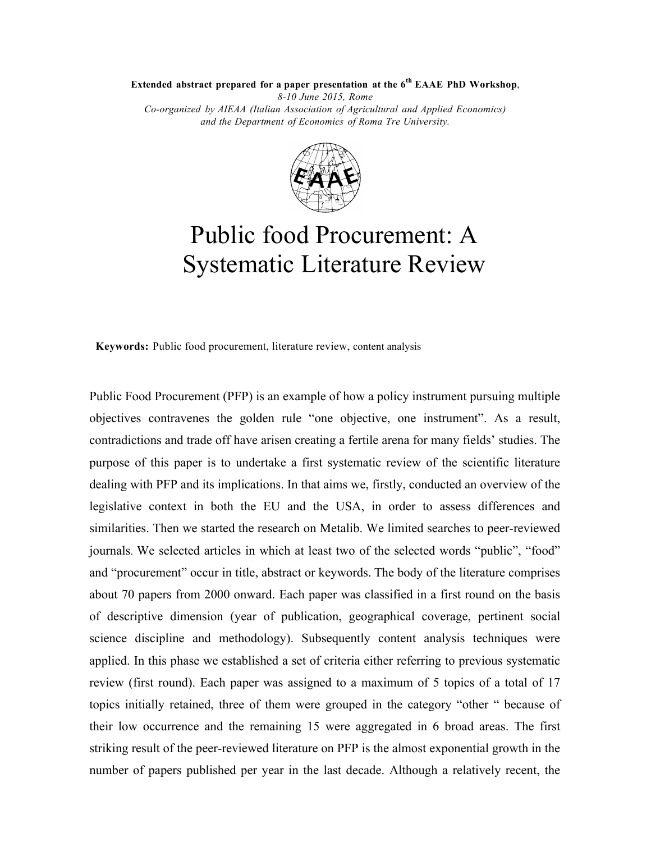**Extended abstract prepared for a paper presentation at the 6th EAAE PhD Workshop**,

*8-10 June 2015, Rome Co-organized by AIEAA (Italian Association of Agricultural and Applied Economics) and the Department of Economics of Roma Tre University.*



## Public food Procurement: A Systematic Literature Review

**Keywords:** Public food procurement, literature review, content analysis

Public Food Procurement (PFP) is an example of how a policy instrument pursuing multiple objectives contravenes the golden rule "one objective, one instrument". As a result, contradictions and trade off have arisen creating a fertile arena for many fields' studies. The purpose of this paper is to undertake a first systematic review of the scientific literature dealing with PFP and its implications. In that aims we, firstly, conducted an overview of the legislative context in both the EU and the USA, in order to assess differences and similarities. Then we started the research on Metalib. We limited searches to peer-reviewed journals. We selected articles in which at least two of the selected words "public", "food" and "procurement" occur in title, abstract or keywords. The body of the literature comprises about 70 papers from 2000 onward. Each paper was classified in a first round on the basis of descriptive dimension (year of publication, geographical coverage, pertinent social science discipline and methodology). Subsequently content analysis techniques were applied. In this phase we established a set of criteria either referring to previous systematic review (first round). Each paper was assigned to a maximum of 5 topics of a total of 17 topics initially retained, three of them were grouped in the category "other " because of their low occurrence and the remaining 15 were aggregated in 6 broad areas. The first striking result of the peer-reviewed literature on PFP is the almost exponential growth in the number of papers published per year in the last decade. Although a relatively recent, the